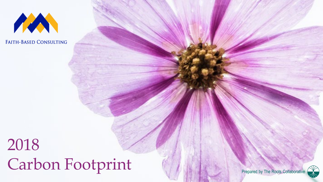

**FAITH-BASED CONSULTING** 

# 2018 Carbon Footprint



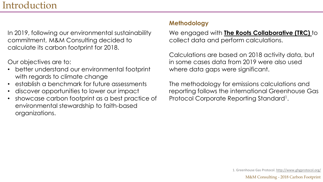#### Introduction

In 2019, following our environmental sustainability commitment, M&M Consulting decided to calculate its carbon footprint for 2018.

#### Our objectives are to:

- better understand our environmental footprint with regards to climate change
- establish a benchmark for future assessments
- discover opportunities to lower our impact
- showcase carbon footprint as a best practice of environmental stewardship to faith-based organizations.

#### **Methodology**

We engaged with **[The Roots Collaborative \(TRC\)](http://therootscollaborative.com/)** to collect data and perform calculations.

Calculations are based on 2018 activity data, but in some cases data from 2019 were also used where data gaps were significant.

The methodology for emissions calculations and reporting follows the international Greenhouse Gas Protocol Corporate Reporting Standard<sup>1</sup>.

1. Greenhouse Gas Protocol. <http://www.ghgprotocol.org/>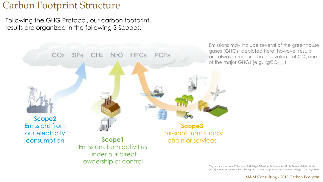#### Carbon Footprint Structure

Following the GHG Protocol, our carbon footprint results are organized in the following 3 Scopes.



Diagram adapted from Villar, Juan & Hidalgo, Sebastián & Penela, Adolfo & Gómez Meijide, Breixo. (2012). A New Perspective for Labeling the Carbon Footprint Against Climate Change. 10.5772/48609.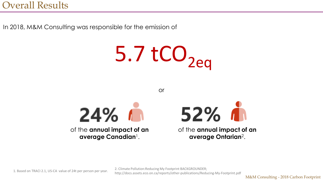In 2018, M&M Consulting was responsible for the emission of

 $5.7$  tCO<sub>2eq</sub>

or



of the **annual impact of an average Canadian**1.



of the **annual impact of an average Ontarian**2.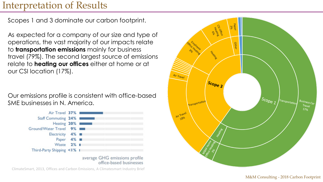### Interpretation of Results

Scopes 1 and 3 dominate our carbon footprint.

As expected for a company of our size and type of operations, the vast majority of our impacts relate to **transportation emissions** mainly for business travel (79%). The second largest source of emissions relate to **heating our offices** either at home or at our CSI location (17%).

Our emissions profile is consistent with office-based SME businesses in N. America.



average GHG emissions profile office-based businesses

ClimateSmart, 2013, Offices and Carbon Emissions, A Climatesmart Industry Brief

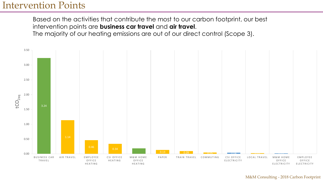#### Intervention Points

Based on the activities that contribute the most to our carbon footprint, our best intervention points are **business car travel** and **air travel**.

The majority of our heating emissions are out of our direct control (Scope 3).



#### M&M Consulting - 2018 Carbon Footprint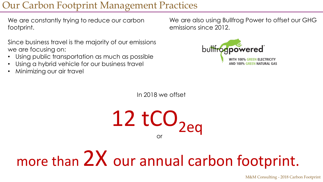## Our Carbon Footprint Management Practices

We are constantly trying to reduce our carbon footprint.

Since business travel is the majority of our emissions we are focusing on:

- Using public transportation as much as possible
- Using a hybrid vehicle for our business travel
- Minimizing our air travel

We are also using Bullfrog Power to offset our GHG emissions since 2012.



In 2018 we offset

 $12$  tCO<sub>2eq</sub> or

# more than  $2X$  our annual carbon footprint.